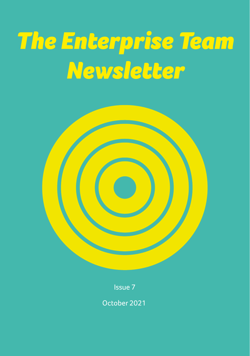# *The Enterprise Team Newsletter*





October 2021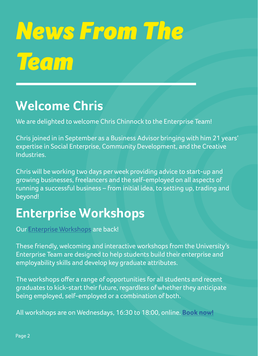# *News From The Team*

## **Welcome Chris**

We are delighted to welcome Chris Chinnock to the Enterprise Team!

Chris joined in in September as a Business Advisor bringing with him 21 years' expertise in Social Enterprise, Community Development, and the Creative Industries.

Chris will be working two days per week providing advice to start-up and growing businesses, freelancers and the self-employed on all aspects of running a successful business – from initial idea, to setting up, trading and beyond!

## **Enterprise Workshops**

Our [Enterprise Workshops](https://students.hud.ac.uk/opportunities/enterprise/workshops/kickstartyourfuture/) are back!

These friendly, welcoming and interactive workshops from the University's Enterprise Team are designed to help students build their enterprise and employability skills and develop key graduate attributes.

The workshops offer a range of opportunities for all students and recent graduates to kick-start their future, regardless of whether they anticipate being employed, self-employed or a combination of both.

All workshops are on Wednesdays, 16:30 to 18:00, online. **[Book now!](https://students.hud.ac.uk/opportunities/enterprise/workshops/kickstartyourfuture/)**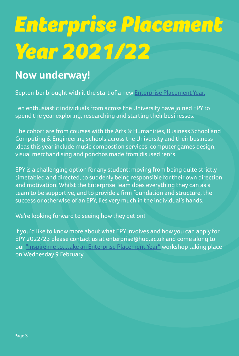# *Enterprise Placement Year 2021/22*

### **Now underway!**

September brought with it the start of a new [Enterprise Placement Year.](https://students.hud.ac.uk/opportunities/enterprise/placement-year/)

Ten enthusiastic individuals from across the University have joined EPY to spend the year exploring, researching and starting their businesses.

The cohort are from courses with the Arts & Humanities, Business School and Computing & Engineering schools across the University and their business ideas this year include music compostion services, computer games design, visual merchandising and ponchos made from disused tents.

EPY is a challenging option for any student; moving from being quite strictly timetabled and directed, to suddenly being responsible for their own direction and motivation. Whilst the Enterprise Team does everything they can as a team to be supportive, and to provide a firm foundation and structure, the success or otherwise of an EPY, lies very much in the individual's hands.

We're looking forward to seeing how they get on!

If you'd like to know more about what EPY involves and how you can apply for EPY 2022/23 please contact us at enterprise@hud.ac.uk and come along to our ["Inspire me to...take an Enterprise Placement Year"](https://www.eventbrite.co.uk/e/inspire-me-totake-an-enterprise-placement-year-tickets-122965658595 ) workshop taking place on Wednesday 9 February.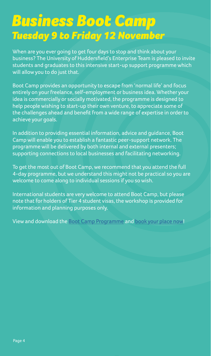## *Business Boot Camp Tuesday 9 to Friday 12 November*

When are you ever going to get four days to stop and think about your business? The University of Huddersfield's Enterprise Team is pleased to invite students and graduates to this intensive start-up support programme which will allow you to do just that.

Boot Camp provides an opportunity to escape from 'normal life' and focus entirely on your freelance, self-employment or business idea. Whether your idea is commercially or socially motivated, the programme is designed to help people wishing to start-up their own venture, to appreciate some of the challenges ahead and benefit from a wide range of expertise in order to achieve your goals.

In addition to providing essential information, advice and guidance, Boot Camp will enable you to establish a fantastic peer-support network. The programme will be delivered by both internal and external presenters; supporting connections to local businesses and facilitating networking.

To get the most out of Boot Camp, we recommend that you attend the full 4-day programme, but we understand this might not be practical so you are welcome to come along to individual sessions if you so wish.

International students are very welcome to attend Boot Camp, but please note that for holders of Tier 4 student visas, the workshop is provided for information and planning purposes only.

View and download the [Boot Camp Programme](https://students.hud.ac.uk/media/assets/photo/enterprise/BusinessBootCampProgramme-Nov2021.pdf) and [book your place now](https://www.eventbrite.co.uk/e/boot-camp-kick-start-your-business-tickets-185729029527)!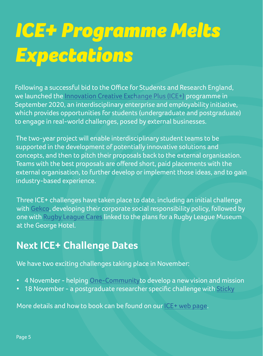## *ICE+ Programme Melts Expectations*

Following a successful bid to the Office for Students and Research England, we launched the [Innovation Creative Exchange Plus \(ICE+\)](https://students.hud.ac.uk/opportunities/enterprise/projects/ice/) programme in September 2020, an interdisciplinary enterprise and employability initiative, which provides opportunities for students (undergraduate and postgraduate) to engage in real-world challenges, posed by external businesses.

The two-year project will enable interdisciplinary student teams to be supported in the development of potentially innovative solutions and concepts, and then to pitch their proposals back to the external organisation. Teams with the best proposals are offered short, paid placements with the external organisation, to further develop or implement those ideas, and to gain industry-based experience.

Three ICE+ challenges have taken place to date, including an initial challenge with [Gekco,](https://www.gekco.uk/) developing their corporate social responsibility policy, followed by one with [Rugby League Cares l](https://www.rugbyleaguecares.org/)inked to the plans for a Rugby League Museum at the George Hotel.

### **Next ICE+ Challenge Dates**

We have two exciting challenges taking place in November:

- 4 November helping [One-Community](http://1community.org.uk/)to develop a new vision and mission
- 18 November a postgraduate researcher specific challenge with [Sticky](https://sticky.to/)

More details and how to book can be found on our [ICE+ web page](https://students.hud.ac.uk/opportunities/enterprise/projects/ice/).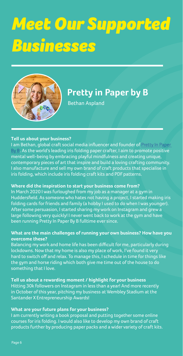# *Meet Our Supported Businesses*



## **Pretty in Paper by B**

Bethan Aspland

#### **Tell us about your business?**

I am Bethan, global craft social media influencer and founder of [Pretty In Paper](https://www.instagram.com/prettyinpaperbyb/)  [By B](https://www.instagram.com/prettyinpaperbyb/). As the world's leading iris folding paper crafter, I aim to promote positive mental well-being by embracing playful mindfulness and creating unique, contemporary pieces of art that inspire and build a loving crafting community. I also manufacture and sell my own brand of craft products that specialise in iris folding, which include iris folding craft kits and PDF patterns.

#### **Where did the inspiration to start your business come from?**

In March 2020 I was furloughed from my job as a manager at a gym in Huddersfield. As someone who hates not having a project, I started making iris folding cards for friends and family (a hobby I used to do when I was younger). After some persuasion, I started sharing my work on Instagram and grew a large following very quickly! I never went back to work at the gym and have been running Pretty In Paper By B fulltime ever since.

#### **What are the main challenges of running your own business? How have you overcome these?**

Balancing my work and home life has been difficult for me, particularly during lockdowns. Now that my home is also my place of work, I've found it very hard to switch off and relax. To manage this, I schedule in time for things like the gym and horse riding which both give me time out of the house to do something that I love.

**Tell us about a rewarding moment / highlight for your business**  Hitting 30k followers on Instagram in less than a year! And more recently in October of this year, pitching my business at Wembley Stadium at the Santander X Entrepreneurship Awards!

**What are your future plans for your business?**  I am currently writing a book proposal and putting together some online courses for iris folding. I would also like to develop my own brand of craft products further by producing paper packs and a wider variety of craft kits.

Page 6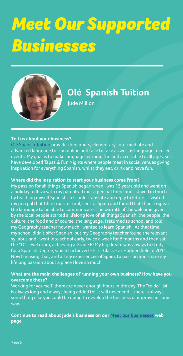# *Meet Our Supported Businesses*



## **Olé Spanish Tuition**

Jude Million

#### **Tell us about your business?**

[Olé Spanish Tuition](https://www.instagram.com/olespanishtuition/) provides beginners, elementary, intermediate and advanced language tuition online and face to face as well as language focused events. My goal is to make language learning fun and accessible to all ages, so I have developed Tapas & Fun Nights where people meet in social venues giving inspiration for everything Spanish, whilst they eat, drink and have fun.

#### **Where did the inspiration to start your business come from?**

My passion for all things Spanish began when I was 15 years old and went on a holiday to Ibiza with my parents. I met a pen pal there and I stayed in touch by teaching myself Spanish so I could translate and reply to letters. I visited my pen pal that Christmas in rural, central Spain and found that I had to speak the language to be able to communicate. The warmth of the welcome given by the local people started a lifelong love of all things Spanish: the people, the culture, the food and of course, the language. I returned to school and told my Geography teacher how much I wanted to learn Spanish. At that time, my school didn't offer Spanish, but my Geography teacher found the relevant syllabus and I went into school early, twice a week for 6 months and then sat the "O" Level exam, achieving a Grade B! My big dream was always to study for a Spanish Degree, which I achieved – First Class – at Huddersfield in 2011. Now I'm using that, and all my experiences of Spain, to pass on and share my lifelong passion about a place I love so much.

#### **What are the main challenges of running your own business? How have you**

**overcome these?**

Working for yourself, there are never enough hours in the day. The "to do" list is always long and always being added to! It will never end – there is always something else you could be doing to develop the business or improve in some way.

**Continue to read about Jude's business on our [Meet our Businesses](https://students.hud.ac.uk/opportunities/enterprise/businesses/) web page**

Page 6